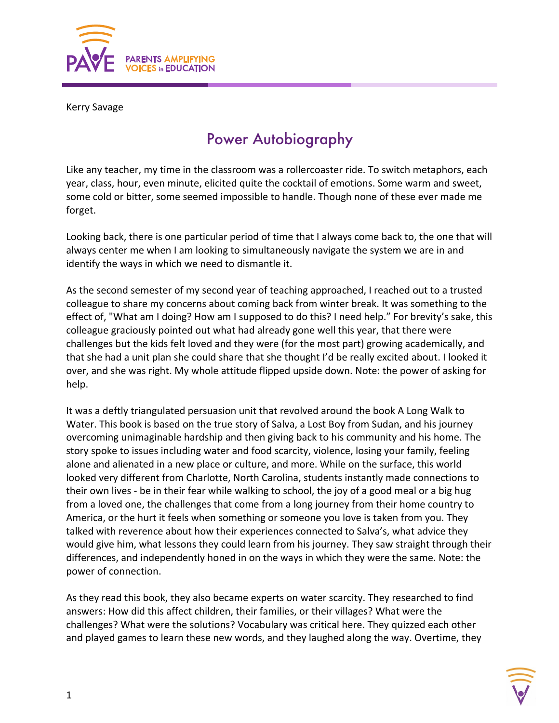

Kerry Savage

## Power Autobiography

Like any teacher, my time in the classroom was a rollercoaster ride. To switch metaphors, each year, class, hour, even minute, elicited quite the cocktail of emotions. Some warm and sweet, some cold or bitter, some seemed impossible to handle. Though none of these ever made me forget.

Looking back, there is one particular period of time that I always come back to, the one that will always center me when I am looking to simultaneously navigate the system we are in and identify the ways in which we need to dismantle it.

As the second semester of my second year of teaching approached, I reached out to a trusted colleague to share my concerns about coming back from winter break. It was something to the effect of, "What am I doing? How am I supposed to do this? I need help." For brevity's sake, this colleague graciously pointed out what had already gone well this year, that there were challenges but the kids felt loved and they were (for the most part) growing academically, and that she had a unit plan she could share that she thought I'd be really excited about. I looked it over, and she was right. My whole attitude flipped upside down. Note: the power of asking for help.

It was a deftly triangulated persuasion unit that revolved around the book A Long Walk to Water. This book is based on the true story of Salva, a Lost Boy from Sudan, and his journey overcoming unimaginable hardship and then giving back to his community and his home. The story spoke to issues including water and food scarcity, violence, losing your family, feeling alone and alienated in a new place or culture, and more. While on the surface, this world looked very different from Charlotte, North Carolina, students instantly made connections to their own lives - be in their fear while walking to school, the joy of a good meal or a big hug from a loved one, the challenges that come from a long journey from their home country to America, or the hurt it feels when something or someone you love is taken from you. They talked with reverence about how their experiences connected to Salva's, what advice they would give him, what lessons they could learn from his journey. They saw straight through their differences, and independently honed in on the ways in which they were the same. Note: the power of connection.

As they read this book, they also became experts on water scarcity. They researched to find answers: How did this affect children, their families, or their villages? What were the challenges? What were the solutions? Vocabulary was critical here. They quizzed each other and played games to learn these new words, and they laughed along the way. Overtime, they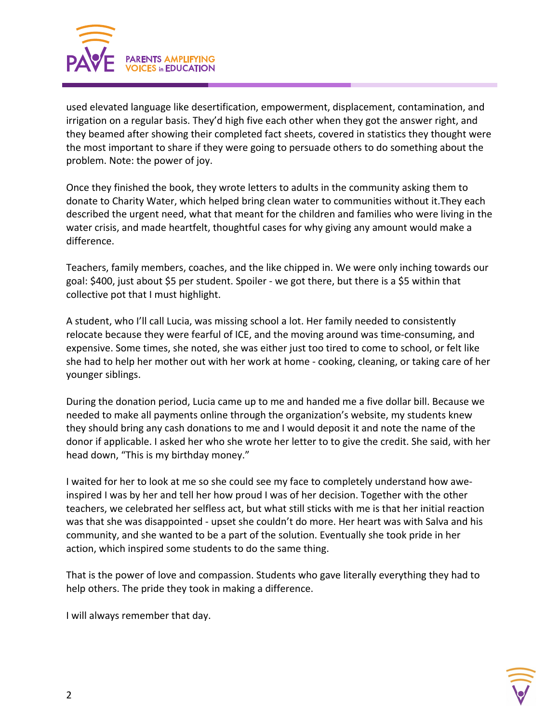

used elevated language like desertification, empowerment, displacement, contamination, and irrigation on a regular basis. They'd high five each other when they got the answer right, and they beamed after showing their completed fact sheets, covered in statistics they thought were the most important to share if they were going to persuade others to do something about the problem. Note: the power of joy.

Once they finished the book, they wrote letters to adults in the community asking them to donate to Charity Water, which helped bring clean water to communities without it.They each described the urgent need, what that meant for the children and families who were living in the water crisis, and made heartfelt, thoughtful cases for why giving any amount would make a difference.

Teachers, family members, coaches, and the like chipped in. We were only inching towards our goal: \$400, just about \$5 per student. Spoiler - we got there, but there is a \$5 within that collective pot that I must highlight.

A student, who I'll call Lucia, was missing school a lot. Her family needed to consistently relocate because they were fearful of ICE, and the moving around was time-consuming, and expensive. Some times, she noted, she was either just too tired to come to school, or felt like she had to help her mother out with her work at home - cooking, cleaning, or taking care of her younger siblings.

During the donation period, Lucia came up to me and handed me a five dollar bill. Because we needed to make all payments online through the organization's website, my students knew they should bring any cash donations to me and I would deposit it and note the name of the donor if applicable. I asked her who she wrote her letter to to give the credit. She said, with her head down, "This is my birthday money."

I waited for her to look at me so she could see my face to completely understand how aweinspired I was by her and tell her how proud I was of her decision. Together with the other teachers, we celebrated her selfless act, but what still sticks with me is that her initial reaction was that she was disappointed - upset she couldn't do more. Her heart was with Salva and his community, and she wanted to be a part of the solution. Eventually she took pride in her action, which inspired some students to do the same thing.

That is the power of love and compassion. Students who gave literally everything they had to help others. The pride they took in making a difference.

I will always remember that day.